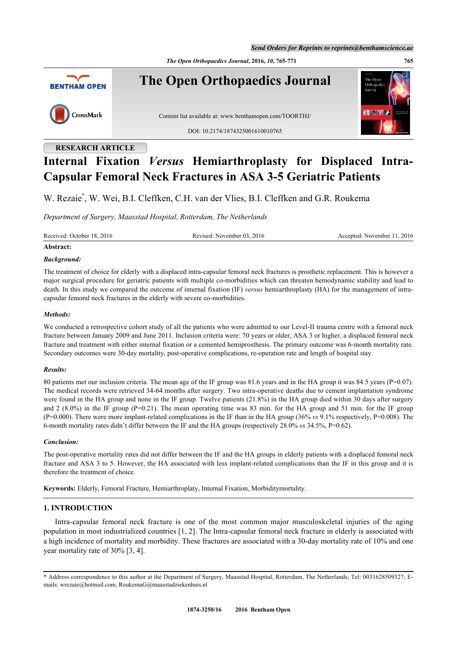*Send Orders for Reprints to reprints@benthamscience.ae*

*The Open Orthopaedics Journal***, 2016,** *10***, 765-771 765**



**The Open Orthopaedics Journal**



Content list available at: [www.benthamopen.com/TOORTHJ/](http://www.benthamopen.com/TOORTHJ/)

DOI: [10.2174/1874325001610010765](http://dx.doi.org/10.2174/1874325001610010765)

# **RESEARCH ARTICLE**

# **Internal Fixation** *Versus* **Hemiarthroplasty for Displaced Intra-Capsular Femoral Neck Fractures in ASA 3-5 Geriatric Patients**

W. Rezaie<sup>[\\*](#page-0-0)</sup>, W. Wei, B.I. Cleffken, C.H. van der Vlies, B.I. Cleffken and G.R. Roukema

*Department of Surgery, Maasstad Hospital, Rotterdam, The Netherlands*

Received: October 18, 2016 Revised: November 03, 2016 Accepted: November 11, 2016

## **Abstract:**

## *Background:*

The treatment of choice for elderly with a displaced intra-capsular femoral neck fractures is prosthetic replacement. This is however a major surgical procedure for geriatric patients with multiple co-morbidities which can threaten hemodynamic stability and lead to death. In this study we compared the outcome of internal fixation (IF) *versus* hemiarthroplasty (HA) for the management of intracapsular femoral neck fractures in the elderly with severe co-morbidities.

## *Methods:*

We conducted a retrospective cohort study of all the patients who were admitted to our Level-II trauma centre with a femoral neck fracture between January 2009 and June 2011. Inclusion criteria were: 70 years or older, ASA 3 or higher, a displaced femoral neck fracture and treatment with either internal fixation or a cemented hemiprosthesis. The primary outcome was 6-month mortality rate. Secondary outcomes were 30-day mortality, post-operative complications, re-operation rate and length of hospital stay.

## *Results:*

80 patients met our inclusion criteria. The mean age of the IF group was 81.6 years and in the HA group it was 84.5 years (P=0.07). The medical records were retrieved 34-64 months after surgery. Two intra-operative deaths due to cement implantation syndrome were found in the HA group and none in the IF group. Twelve patients (21.8%) in the HA group died within 30 days after surgery and 2  $(8.0\%)$  in the IF group (P=0.21). The mean operating time was 83 min. for the HA group and 51 min. for the IF group (P=0.000). There were more implant-related complications in the IF than in the HA group (36% *vs* 9.1% respectively, P=0.008). The 6-month mortality rates didn't differ between the IF and the HA groups (respectively 28.0% *vs* 34.5%, P=0.62).

## *Conclusion:*

The post-operative mortality rates did not differ between the IF and the HA groups in elderly patients with a displaced femoral neck fracture and ASA 3 to 5. However, the HA associated with less implant-related complications than the IF in this group and it is therefore the treatment of choice.

**Keywords:** Elderly, Femoral Fracture, Hemiarthroplaty, Internal Fixation, Morbiditymortality.

## **1. INTRODUCTION**

Intra-capsular femoral neck fracture is one of the most common major musculoskeletal injuries of the aging population in most industrialized countries [[1,](#page-5-0) [2\]](#page-5-1). The Intra-capsular femoral neck fracture in elderly is associated with a high incidence of mortality and morbidity. These fractures are associated with a 30-day mortality rate of 10% and one year mortality rate of 30% [\[3](#page-5-2), [4](#page-5-3)].

<span id="page-0-0"></span><sup>\*</sup> Address correspondence to this author at the Department of Surgery, Maasstad Hospital, Rotterdam, The Netherlands; Tel: 0031628509327; Emails: [wrezaie@hotmail.com,](mailto:wrezaie@hotmail.com) [RoukemaG@maasstadziekenhuis.nl](mailto:RoukemaG@maasstadziekenhuis.nl)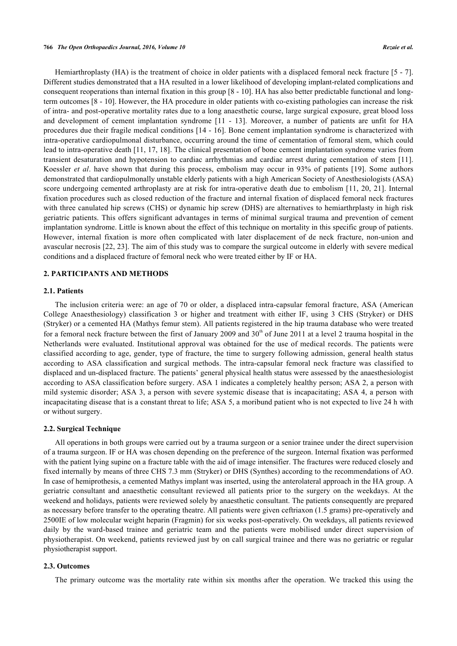Hemiarthroplasty (HA) is the treatment of choice in older patients with a displaced femoral neck fracture [\[5](#page-5-4) - [7\]](#page-5-5). Different studies demonstrated that a HA resulted in a lower likelihood of developing implant-related complications and consequent reoperations than internal fixation in this group [[8](#page-5-6) - [10](#page-5-7)]. HA has also better predictable functional and longterm outcomes [\[8](#page-5-6) - [10](#page-5-7)]. However, the HA procedure in older patients with co-existing pathologies can increase the risk of intra- and post-operative mortality rates due to a long anaesthetic course, large surgical exposure, great blood loss and development of cement implantation syndrome[[11](#page-5-8) - [13](#page-5-9)]. Moreover, a number of patients are unfit for HA procedures due their fragile medical conditions [[14](#page-5-10) - [16\]](#page-6-0). Bone cement implantation syndrome is characterized with intra-operative cardiopulmonal disturbance, occurring around the time of cementation of femoral stem, which could lead to intra-operative death [\[11](#page-5-8), [17,](#page-6-1) [18](#page-6-2)]. The clinical presentation of bone cement implantation syndrome varies from transient desaturation and hypotension to cardiac arrhythmias and cardiac arrest during cementation of stem [\[11\]](#page-5-8). Koessler *et al*. have shown that during this process, embolism may occur in 93% of patients [\[19](#page-6-3)]. Some authors demonstrated that cardiopulmonally unstable elderly patients with a high American Society of Anesthesiologists (ASA) score undergoing cemented arthroplasty are at risk for intra-operative death due to embolism [\[11,](#page-5-8) [20,](#page-6-4) [21](#page-6-5)]. Internal fixation procedures such as closed reduction of the fracture and internal fixation of displaced femoral neck fractures with three canulated hip screws (CHS) or dynamic hip screw (DHS) are alternatives to hemiarthrplasty in high risk geriatric patients. This offers significant advantages in terms of minimal surgical trauma and prevention of cement implantation syndrome. Little is known about the effect of this technique on mortality in this specific group of patients. However, internal fixation is more often complicated with later displacement of de neck fracture, non-union and avascular necrosis [\[22](#page-6-6), [23\]](#page-6-7). The aim of this study was to compare the surgical outcome in elderly with severe medical conditions and a displaced fracture of femoral neck who were treated either by IF or HA.

## **2. PARTICIPANTS AND METHODS**

## **2.1. Patients**

The inclusion criteria were: an age of 70 or older, a displaced intra-capsular femoral fracture, ASA (American College Anaesthesiology) classification 3 or higher and treatment with either IF, using 3 CHS (Stryker) or DHS (Stryker) or a cemented HA (Mathys femur stem). All patients registered in the hip trauma database who were treated for a femoral neck fracture between the first of January 2009 and  $30<sup>th</sup>$  of June 2011 at a level 2 trauma hospital in the Netherlands were evaluated. Institutional approval was obtained for the use of medical records. The patients were classified according to age, gender, type of fracture, the time to surgery following admission, general health status according to ASA classification and surgical methods. The intra-capsular femoral neck fracture was classified to displaced and un-displaced fracture. The patients' general physical health status were assessed by the anaesthesiologist according to ASA classification before surgery. ASA 1 indicates a completely healthy person; ASA 2, a person with mild systemic disorder; ASA 3, a person with severe systemic disease that is incapacitating; ASA 4, a person with incapacitating disease that is a constant threat to life; ASA 5, a moribund patient who is not expected to live 24 h with or without surgery.

#### **2.2. Surgical Technique**

All operations in both groups were carried out by a trauma surgeon or a senior trainee under the direct supervision of a trauma surgeon. IF or HA was chosen depending on the preference of the surgeon. Internal fixation was performed with the patient lying supine on a fracture table with the aid of image intensifier. The fractures were reduced closely and fixed internally by means of three CHS 7.3 mm (Stryker) or DHS (Synthes) according to the recommendations of AO. In case of hemiprothesis, a cemented Mathys implant was inserted, using the anterolateral approach in the HA group. A geriatric consultant and anaesthetic consultant reviewed all patients prior to the surgery on the weekdays. At the weekend and holidays, patients were reviewed solely by anaesthetic consultant. The patients consequently are prepared as necessary before transfer to the operating theatre. All patients were given ceftriaxon (1.5 grams) pre-operatively and 2500IE of low molecular weight heparin (Fragmin) for six weeks post-operatively. On weekdays, all patients reviewed daily by the ward-based trainee and geriatric team and the patients were mobilised under direct supervision of physiotherapist. On weekend, patients reviewed just by on call surgical trainee and there was no geriatric or regular physiotherapist support.

## **2.3. Outcomes**

The primary outcome was the mortality rate within six months after the operation. We tracked this using the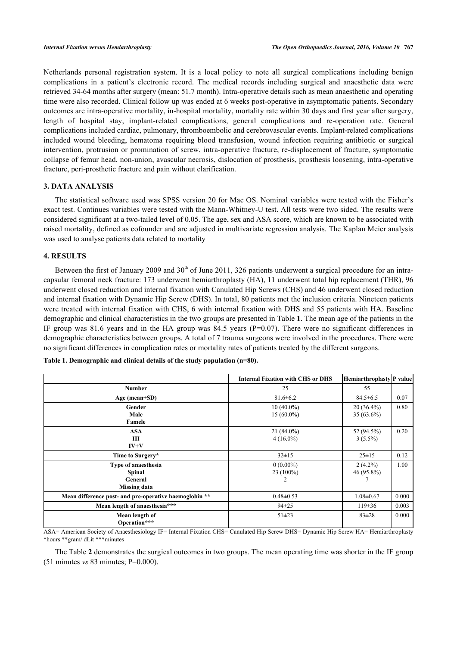Netherlands personal registration system. It is a local policy to note all surgical complications including benign complications in a patient's electronic record. The medical records including surgical and anaesthetic data were retrieved 34-64 months after surgery (mean: 51.7 month). Intra-operative details such as mean anaesthetic and operating time were also recorded. Clinical follow up was ended at 6 weeks post-operative in asymptomatic patients. Secondary outcomes are intra-operative mortality, in-hospital mortality, mortality rate within 30 days and first year after surgery, length of hospital stay, implant-related complications, general complications and re-operation rate. General complications included cardiac, pulmonary, thromboembolic and cerebrovascular events. Implant-related complications included wound bleeding, hematoma requiring blood transfusion, wound infection requiring antibiotic or surgical intervention, protrusion or promination of screw, intra-operative fracture, re-displacement of fracture, symptomatic collapse of femur head, non-union, avascular necrosis, dislocation of prosthesis, prosthesis loosening, intra-operative fracture, peri-prosthetic fracture and pain without clarification.

## **3. DATA ANALYSIS**

The statistical software used was SPSS version 20 for Mac OS. Nominal variables were tested with the Fisher's exact test. Continues variables were tested with the Mann-Whitney-U test. All tests were two sided. The results were considered significant at a two-tailed level of 0.05. The age, sex and ASA score, which are known to be associated with raised mortality, defined as cofounder and are adjusted in multivariate regression analysis. The Kaplan Meier analysis was used to analyse patients data related to mortality

## **4. RESULTS**

Between the first of January 2009 and  $30<sup>th</sup>$  of June 2011, 326 patients underwent a surgical procedure for an intracapsular femoral neck fracture: 173 underwent hemiarthroplasty (HA), 11 underwent total hip replacement (THR), 96 underwent closed reduction and internal fixation with Canulated Hip Screws (CHS) and 46 underwent closed reduction and internal fixation with Dynamic Hip Screw (DHS). In total, 80 patients met the inclusion criteria. Nineteen patients were treated with internal fixation with CHS, 6 with internal fixation with DHS and 55 patients with HA. Baseline demographic and clinical characteristics in the two groups are presented in Table **[1](#page-2-0)**. The mean age of the patients in the IF group was 81.6 years and in the HA group was 84.5 years (P=0.07). There were no significant differences in demographic characteristics between groups. A total of 7 trauma surgeons were involved in the procedures. There were no significant differences in complication rates or mortality rates of patients treated by the different surgeons.

|                                                                 | <b>Internal Fixation with CHS or DHS</b> | Hemiarthroplasty P value     |       |
|-----------------------------------------------------------------|------------------------------------------|------------------------------|-------|
| <b>Number</b>                                                   | 25                                       | 55                           |       |
| Age (mean $\pm SD$ )                                            | $81.6 \pm 6.2$                           | $84.5 \pm 6.5$               | 0.07  |
| Gender<br>Male<br>Famele                                        | $10(40.0\%)$<br>$15(60.0\%)$             | $20(36.4\%)$<br>$35(63.6\%)$ | 0.80  |
| <b>ASA</b><br>Ш<br>$IV+V$                                       | $21(84.0\%)$<br>$4(16.0\%)$              | 52 (94.5%)<br>$3(5.5\%)$     | 0.20  |
| Time to Surgery*                                                | $32 \pm 15$                              | $25 \pm 15$                  | 0.12  |
| Type of anaesthesia<br>Spinal<br>General<br><b>Missing data</b> | $0(0.00\%)$<br>$23(100\%)$               | $2(4.2\%)$<br>46 (95.8%)     | 1.00  |
| Mean difference post- and pre-operative haemoglobin **          | $0.48 \pm 0.53$                          | $1.08 \pm 0.67$              | 0.000 |
| Mean length of anaesthesia***                                   | $94 \pm 25$                              | $119\pm36$                   | 0.003 |
| Mean length of<br>Operation***                                  | $51\pm23$                                | $83 \pm 28$                  | 0.000 |

<span id="page-2-0"></span>**Table 1. Demographic and clinical details of the study population (n=80).**

ASA= American Society of Anaesthesiology IF= Internal Fixation CHS= Canulated Hip Screw DHS= Dynamic Hip Screw HA= Hemiarthroplasty \*hours \*\*gram/ dLit \*\*\*minutes

The Table **[2](#page-3-0)** demonstrates the surgical outcomes in two groups. The mean operating time was shorter in the IF group (51 minutes *vs* 83 minutes; P=0.000).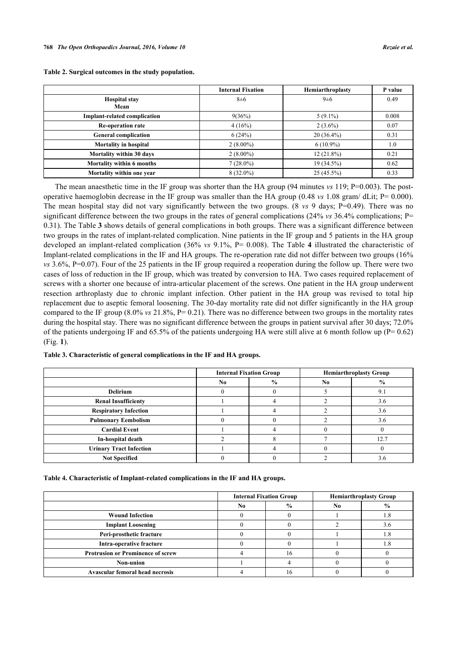|                                     | <b>Internal Fixation</b> | Hemiarthroplasty | P value |
|-------------------------------------|--------------------------|------------------|---------|
| <b>Hospital stay</b>                | $8\pm 6$                 | $9\pm 6$         | 0.49    |
| Mean                                |                          |                  |         |
| <b>Implant-related complication</b> | 9(36%)                   | $5(9.1\%)$       | 0.008   |
| <b>Re-operation rate</b>            | 4(16%)                   | $2(3.6\%)$       | 0.07    |
| <b>General complication</b>         | 6(24%)                   | $20(36.4\%)$     | 0.31    |
| <b>Mortality in hospital</b>        | $2(8.00\%)$              | $6(10.9\%)$      | 1.0     |
| Mortality within 30 days            | $2(8.00\%)$              | $12(21.8\%)$     | 0.21    |
| Mortality within 6 months           | $7(28.0\%)$              | 19 (34.5%)       | 0.62    |
| Mortality within one year           | $8(32.0\%)$              | $25(45.5\%)$     | 0.33    |

<span id="page-3-0"></span>**Table 2. Surgical outcomes in the study population.**

The mean anaesthetic time in the IF group was shorter than the HA group (94 minutes *vs* 119; P=0.003). The postoperative haemoglobin decrease in the IF group was smaller than the HA group (0.48 *vs* 1.08 gram/ dLit; P= 0.000). The mean hospital stay did not vary significantly between the two groups. (8 *vs* 9 days; P=0.49). There was no significant difference between the two groups in the rates of general complications (24% *vs* 36.4% complications; P= 0.31). The Table **[3](#page-3-1)** shows details of general complications in both groups. There was a significant difference between two groups in the rates of implant-related complication. Nine patients in the IF group and 5 patients in the HA group developed an implant-related complication (36% *vs* 9.1%, P= 0.008). The Table**4** illustrated the characteristic of Implant-related complications in the IF and HA groups. The re-operation rate did not differ between two groups (16% *vs* 3.6%, P=0.07). Four of the 25 patients in the IF group required a reoperation during the follow up. There were two cases of loss of reduction in the IF group, which was treated by conversion to HA. Two cases required replacement of screws with a shorter one because of intra-articular placement of the screws. One patient in the HA group underwent resection arthroplasty due to chronic implant infection. Other patient in the HA group was revised to total hip replacement due to aseptic femoral loosening. The 30-day mortality rate did not differ significantly in the HA group compared to the IF group (8.0% *vs* 21.8%, P= 0.21). There was no difference between two groups in the mortality rates during the hospital stay. There was no significant difference between the groups in patient survival after 30 days; 72.0% of the patients undergoing IF and  $65.5\%$  of the patients undergoing HA were still alive at 6 month follow up (P= 0.62) (Fig. **[1](#page-3-3)**).

<span id="page-3-1"></span>

| Table 3. Characteristic of general complications in the IF and HA groups. |  |  |
|---------------------------------------------------------------------------|--|--|
|---------------------------------------------------------------------------|--|--|

|                                | <b>Internal Fixation Group</b> |               | <b>Hemiarthroplasty Group</b> |               |
|--------------------------------|--------------------------------|---------------|-------------------------------|---------------|
|                                | No.                            | $\frac{6}{9}$ | N <sub>0</sub>                | $\frac{6}{9}$ |
| <b>Delirium</b>                |                                |               |                               | 9.1           |
| <b>Renal Insufficienty</b>     |                                |               |                               | 3.6           |
| <b>Respiratory Infection</b>   |                                |               |                               | 3.6           |
| <b>Pulmonary Eembolism</b>     |                                |               |                               | 3.6           |
| <b>Cardial Event</b>           |                                |               |                               |               |
| In-hospital death              |                                |               |                               | 12.7          |
| <b>Urinary Tract Infection</b> |                                |               |                               |               |
| <b>Not Specified</b>           |                                |               |                               | 3.6           |

<span id="page-3-2"></span>**Table 4. Characteristic of Implant-related complications in the IF and HA groups.**

<span id="page-3-3"></span>

|                                          |    | <b>Internal Fixation Group</b> |     | <b>Hemiarthroplasty Group</b> |  |
|------------------------------------------|----|--------------------------------|-----|-------------------------------|--|
|                                          | No | $\frac{6}{9}$                  | No. | $\frac{0}{0}$                 |  |
| <b>Wound Infection</b>                   |    |                                |     | - C                           |  |
| <b>Implant Loosening</b>                 |    |                                |     |                               |  |
| Peri-prosthetic fracture                 |    |                                |     |                               |  |
| Intra-operative fracture                 |    |                                |     |                               |  |
| <b>Protrusion or Prominence of screw</b> |    |                                |     |                               |  |
| Non-union                                |    |                                |     |                               |  |
| <b>Avascular femoral head necrosis</b>   |    |                                |     |                               |  |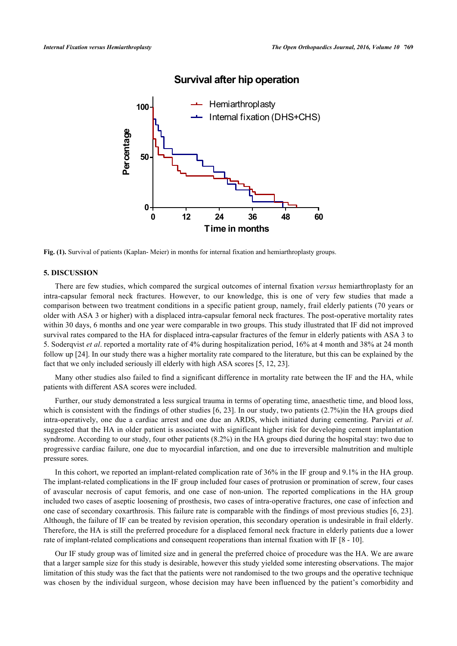

## **Survival after hip operation**

**Fig. (1).** Survival of patients (Kaplan- Meier) in months for internal fixation and hemiarthroplasty groups.

## **5. DISCUSSION**

There are few studies, which compared the surgical outcomes of internal fixation *versus* hemiarthroplasty for an intra-capsular femoral neck fractures. However, to our knowledge, this is one of very few studies that made a comparison between two treatment conditions in a specific patient group, namely, frail elderly patients (70 years or older with ASA 3 or higher) with a displaced intra-capsular femoral neck fractures. The post-operative mortality rates within 30 days, 6 months and one year were comparable in two groups. This study illustrated that IF did not improved survival rates compared to the HA for displaced intra-capsular fractures of the femur in elderly patients with ASA 3 to 5. Soderqvist *et al*. reported a mortality rate of 4% during hospitalization period, 16% at 4 month and 38% at 24 month follow up [\[24](#page-6-8)]. In our study there was a higher mortality rate compared to the literature, but this can be explained by the fact that we only included seriously ill elderly with high ASA scores [[5,](#page-5-4) [12,](#page-5-11) [23\]](#page-6-7).

Many other studies also failed to find a significant difference in mortality rate between the IF and the HA, while patients with different ASA scores were included.

Further, our study demonstrated a less surgical trauma in terms of operating time, anaesthetic time, and blood loss, which is consistent with the findings of other studies [[6,](#page-5-12) [23\]](#page-6-7). In our study, two patients (2.7%)in the HA groups died intra-operatively, one due a cardiac arrest and one due an ARDS, which initiated during cementing. Parvizi *et al*. suggested that the HA in older patient is associated with significant higher risk for developing cement implantation syndrome. According to our study, four other patients (8.2%) in the HA groups died during the hospital stay: two due to progressive cardiac failure, one due to myocardial infarction, and one due to irreversible malnutrition and multiple pressure sores.

In this cohort, we reported an implant-related complication rate of 36% in the IF group and 9.1% in the HA group. The implant-related complications in the IF group included four cases of protrusion or promination of screw, four cases of avascular necrosis of caput femoris, and one case of non-union. The reported complications in the HA group included two cases of aseptic loosening of prosthesis, two cases of intra-operative fractures, one case of infection and one case of secondary coxarthrosis. This failure rate is comparable with the findings of most previous studies [[6](#page-5-12), [23\]](#page-6-7). Although, the failure of IF can be treated by revision operation, this secondary operation is undesirable in frail elderly. Therefore, the HA is still the preferred procedure for a displaced femoral neck fracture in elderly patients due a lower rate of implant-related complications and consequent reoperations than internal fixation with IF [[8](#page-5-6) - [10](#page-5-7)].

Our IF study group was of limited size and in general the preferred choice of procedure was the HA. We are aware that a larger sample size for this study is desirable, however this study yielded some interesting observations. The major limitation of this study was the fact that the patients were not randomised to the two groups and the operative technique was chosen by the individual surgeon, whose decision may have been influenced by the patient's comorbidity and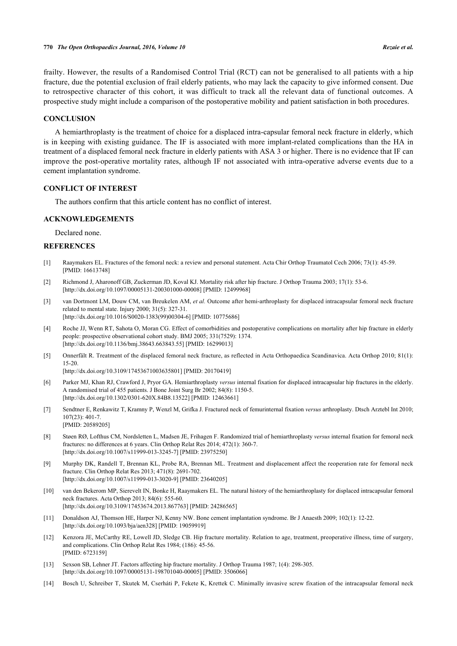frailty. However, the results of a Randomised Control Trial (RCT) can not be generalised to all patients with a hip fracture, due the potential exclusion of frail elderly patients, who may lack the capacity to give informed consent. Due to retrospective character of this cohort, it was difficult to track all the relevant data of functional outcomes. A prospective study might include a comparison of the postoperative mobility and patient satisfaction in both procedures.

#### **CONCLUSION**

A hemiarthroplasty is the treatment of choice for a displaced intra-capsular femoral neck fracture in elderly, which is in keeping with existing guidance. The IF is associated with more implant-related complications than the HA in treatment of a displaced femoral neck fracture in elderly patients with ASA 3 or higher. There is no evidence that IF can improve the post-operative mortality rates, although IF not associated with intra-operative adverse events due to a cement implantation syndrome.

## **CONFLICT OF INTEREST**

The authors confirm that this article content has no conflict of interest.

#### **ACKNOWLEDGEMENTS**

Declared none.

#### **REFERENCES**

- <span id="page-5-0"></span>[1] Raaymakers EL. Fractures of the femoral neck: a review and personal statement. Acta Chir Orthop Traumatol Cech 2006; 73(1): 45-59. [PMID: [16613748\]](http://www.ncbi.nlm.nih.gov/pubmed/16613748)
- <span id="page-5-1"></span>[2] Richmond J, Aharonoff GB, Zuckerman JD, Koval KJ. Mortality risk after hip fracture. J Orthop Trauma 2003; 17(1): 53-6. [\[http://dx.doi.org/10.1097/00005131-200301000-00008](http://dx.doi.org/10.1097/00005131-200301000-00008)] [PMID: [12499968\]](http://www.ncbi.nlm.nih.gov/pubmed/12499968)
- <span id="page-5-2"></span>[3] van Dortmont LM, Douw CM, van Breukelen AM, *et al.* Outcome after hemi-arthroplasty for displaced intracapsular femoral neck fracture related to mental state. Injury 2000; 31(5): 327-31. [\[http://dx.doi.org/10.1016/S0020-1383\(99\)00304-6\]](http://dx.doi.org/10.1016/S0020-1383(99)00304-6) [PMID: [10775686](http://www.ncbi.nlm.nih.gov/pubmed/10775686)]
- <span id="page-5-3"></span>[4] Roche JJ, Wenn RT, Sahota O, Moran CG. Effect of comorbidities and postoperative complications on mortality after hip fracture in elderly people: prospective observational cohort study. BMJ 2005; 331(7529): 1374. [\[http://dx.doi.org/10.1136/bmj.38643.663843.55](http://dx.doi.org/10.1136/bmj.38643.663843.55)] [PMID: [16299013\]](http://www.ncbi.nlm.nih.gov/pubmed/16299013)
- <span id="page-5-4"></span>[5] Onnerfält R. Treatment of the displaced femoral neck fracture, as reflected in Acta Orthopaedica Scandinavica. Acta Orthop 2010; 81(1): 15-20.

[\[http://dx.doi.org/10.3109/17453671003635801\]](http://dx.doi.org/10.3109/17453671003635801) [PMID: [20170419](http://www.ncbi.nlm.nih.gov/pubmed/20170419)]

- <span id="page-5-12"></span>[6] Parker MJ, Khan RJ, Crawford J, Pryor GA. Hemiarthroplasty *versus* internal fixation for displaced intracapsular hip fractures in the elderly. A randomised trial of 455 patients. J Bone Joint Surg Br 2002; 84(8): 1150-5. [\[http://dx.doi.org/10.1302/0301-620X.84B8.13522\]](http://dx.doi.org/10.1302/0301-620X.84B8.13522) [PMID: [12463661](http://www.ncbi.nlm.nih.gov/pubmed/12463661)]
- <span id="page-5-5"></span>[7] Sendtner E, Renkawitz T, Kramny P, Wenzl M, Grifka J. Fractured neck of femurinternal fixation *versus* arthroplasty. Dtsch Arztebl Int 2010; 107(23): 401-7. [PMID: [20589205\]](http://www.ncbi.nlm.nih.gov/pubmed/20589205)
- <span id="page-5-6"></span>[8] Støen RØ, Lofthus CM, Nordsletten L, Madsen JE, Frihagen F. Randomized trial of hemiarthroplasty *versus* internal fixation for femoral neck fractures: no differences at 6 years. Clin Orthop Relat Res 2014; 472(1): 360-7. [\[http://dx.doi.org/10.1007/s11999-013-3245-7\]](http://dx.doi.org/10.1007/s11999-013-3245-7) [PMID: [23975250](http://www.ncbi.nlm.nih.gov/pubmed/23975250)]
- [9] Murphy DK, Randell T, Brennan KL, Probe RA, Brennan ML. Treatment and displacement affect the reoperation rate for femoral neck fracture. Clin Orthop Relat Res 2013; 471(8): 2691-702. [\[http://dx.doi.org/10.1007/s11999-013-3020-9\]](http://dx.doi.org/10.1007/s11999-013-3020-9) [PMID: [23640205](http://www.ncbi.nlm.nih.gov/pubmed/23640205)]
- <span id="page-5-7"></span>[10] van den Bekerom MP, Sierevelt IN, Bonke H, Raaymakers EL. The natural history of the hemiarthroplasty for displaced intracapsular femoral neck fractures. Acta Orthop 2013; 84(6): 555-60. [\[http://dx.doi.org/10.3109/17453674.2013.867763\]](http://dx.doi.org/10.3109/17453674.2013.867763) [PMID: [24286565](http://www.ncbi.nlm.nih.gov/pubmed/24286565)]
- <span id="page-5-8"></span>[11] Donaldson AJ, Thomson HE, Harper NJ, Kenny NW. Bone cement implantation syndrome. Br J Anaesth 2009; 102(1): 12-22. [\[http://dx.doi.org/10.1093/bja/aen328\]](http://dx.doi.org/10.1093/bja/aen328) [PMID: [19059919](http://www.ncbi.nlm.nih.gov/pubmed/19059919)]
- <span id="page-5-11"></span>[12] Kenzora JE, McCarthy RE, Lowell JD, Sledge CB. Hip fracture mortality. Relation to age, treatment, preoperative illness, time of surgery, and complications. Clin Orthop Relat Res 1984; (186): 45-56. [PMID: [6723159\]](http://www.ncbi.nlm.nih.gov/pubmed/6723159)
- <span id="page-5-9"></span>[13] Sexson SB, Lehner JT. Factors affecting hip fracture mortality. J Orthop Trauma 1987; 1(4): 298-305. [\[http://dx.doi.org/10.1097/00005131-198701040-00005](http://dx.doi.org/10.1097/00005131-198701040-00005)] [PMID: [3506066\]](http://www.ncbi.nlm.nih.gov/pubmed/3506066)
- <span id="page-5-10"></span>[14] Bosch U, Schreiber T, Skutek M, Cserháti P, Fekete K, Krettek C. Minimally invasive screw fixation of the intracapsular femoral neck